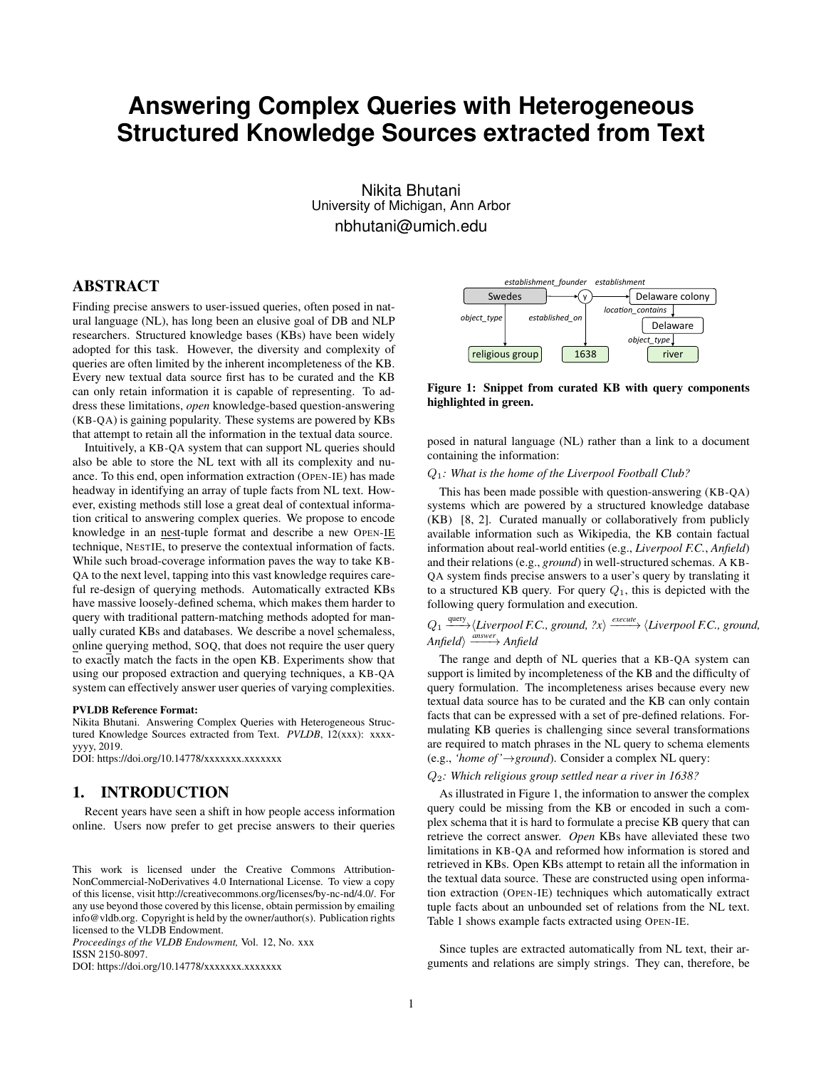# **Answering Complex Queries with Heterogeneous Structured Knowledge Sources extracted from Text**

Nikita Bhutani University of Michigan, Ann Arbor nbhutani@umich.edu

# ABSTRACT

Finding precise answers to user-issued queries, often posed in natural language (NL), has long been an elusive goal of DB and NLP researchers. Structured knowledge bases (KBs) have been widely adopted for this task. However, the diversity and complexity of queries are often limited by the inherent incompleteness of the KB. Every new textual data source first has to be curated and the KB can only retain information it is capable of representing. To address these limitations, *open* knowledge-based question-answering (KB-QA) is gaining popularity. These systems are powered by KBs that attempt to retain all the information in the textual data source.

Intuitively, a KB-QA system that can support NL queries should also be able to store the NL text with all its complexity and nuance. To this end, open information extraction (OPEN-IE) has made headway in identifying an array of tuple facts from NL text. However, existing methods still lose a great deal of contextual information critical to answering complex queries. We propose to encode knowledge in an nest-tuple format and describe a new OPEN-IE technique, NESTIE, to preserve the contextual information of facts. While such broad-coverage information paves the way to take KB-QA to the next level, tapping into this vast knowledge requires careful re-design of querying methods. Automatically extracted KBs have massive loosely-defined schema, which makes them harder to query with traditional pattern-matching methods adopted for manually curated KBs and databases. We describe a novel schemaless, online querying method, SOQ, that does not require the user query to exactly match the facts in the open KB. Experiments show that using our proposed extraction and querying techniques, a KB-QA system can effectively answer user queries of varying complexities.

#### PVLDB Reference Format:

Nikita Bhutani. Answering Complex Queries with Heterogeneous Structured Knowledge Sources extracted from Text. *PVLDB*, 12(xxx): xxxxyyyy, 2019.

DOI: https://doi.org/10.14778/xxxxxxx.xxxxxxx

# 1. INTRODUCTION

Recent years have seen a shift in how people access information online. Users now prefer to get precise answers to their queries

*Proceedings of the VLDB Endowment,* Vol. 12, No. xxx ISSN 2150-8097.

DOI: https://doi.org/10.14778/xxxxxxx.xxxxxxx



Figure 1: Snippet from curated KB with query components highlighted in green.

posed in natural language (NL) rather than a link to a document containing the information:

## Q1*: What is the home of the Liverpool Football Club?*

This has been made possible with question-answering (KB-QA) systems which are powered by a structured knowledge database (KB) [8, 2]. Curated manually or collaboratively from publicly available information such as Wikipedia, the KB contain factual information about real-world entities (e.g., *Liverpool F.C.*, *Anfield*) and their relations (e.g., *ground*) in well-structured schemas. A KB-QA system finds precise answers to a user's query by translating it to a structured KB query. For query  $Q_1$ , this is depicted with the following query formulation and execution.

# $Q_1 \xrightarrow{\text{query}} \langle Liverpool \, F.C., \, ground, \, ?x \rangle \xrightarrow{\text{execute}} \langle Liverpool \, F.C., \, ground, \, \rangle$ *Anfield* answer Anfield

The range and depth of NL queries that a KB-QA system can support is limited by incompleteness of the KB and the difficulty of query formulation. The incompleteness arises because every new textual data source has to be curated and the KB can only contain facts that can be expressed with a set of pre-defined relations. Formulating KB queries is challenging since several transformations are required to match phrases in the NL query to schema elements (e.g., *'home of '*→*ground*). Consider a complex NL query:

Q2*: Which religious group settled near a river in 1638?*

As illustrated in Figure 1, the information to answer the complex query could be missing from the KB or encoded in such a complex schema that it is hard to formulate a precise KB query that can retrieve the correct answer. *Open* KBs have alleviated these two limitations in KB-QA and reformed how information is stored and retrieved in KBs. Open KBs attempt to retain all the information in the textual data source. These are constructed using open information extraction (OPEN-IE) techniques which automatically extract tuple facts about an unbounded set of relations from the NL text. Table 1 shows example facts extracted using OPEN-IE.

Since tuples are extracted automatically from NL text, their arguments and relations are simply strings. They can, therefore, be

This work is licensed under the Creative Commons Attribution-NonCommercial-NoDerivatives 4.0 International License. To view a copy of this license, visit http://creativecommons.org/licenses/by-nc-nd/4.0/. For any use beyond those covered by this license, obtain permission by emailing info@vldb.org. Copyright is held by the owner/author(s). Publication rights licensed to the VLDB Endowment.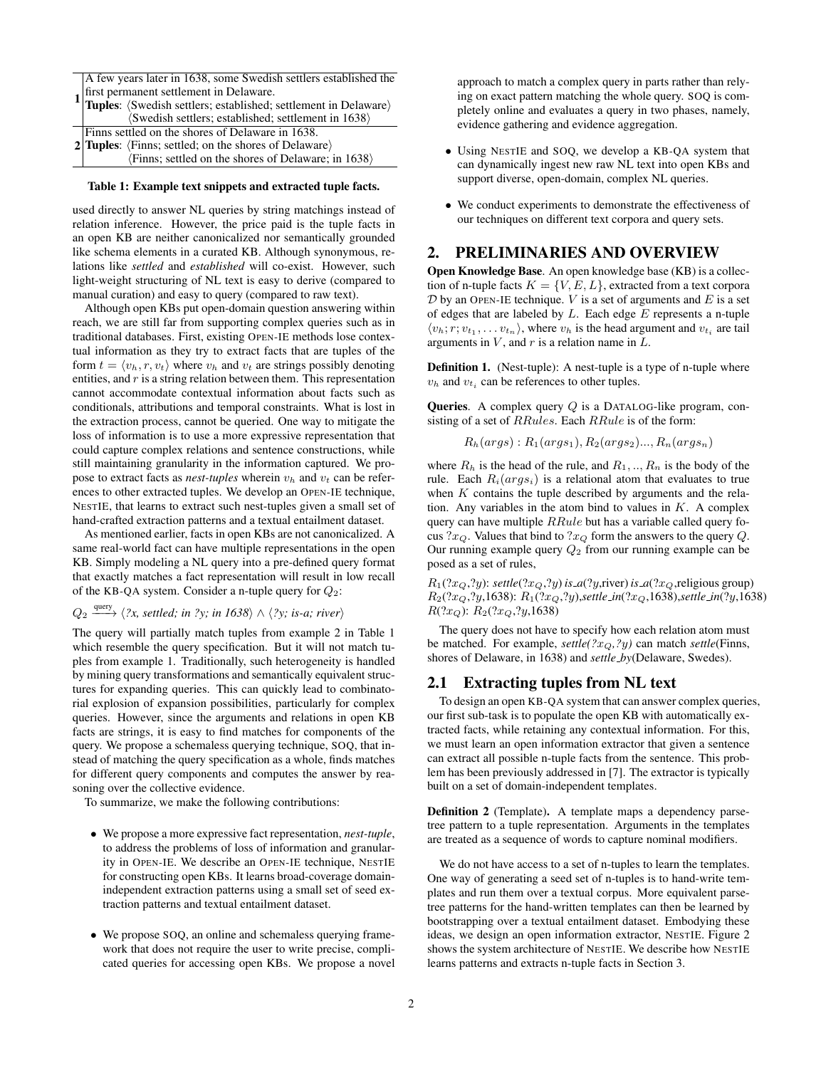|  | A few years later in 1638, some Swedish settlers established the                                                     |  |  |  |  |
|--|----------------------------------------------------------------------------------------------------------------------|--|--|--|--|
|  |                                                                                                                      |  |  |  |  |
|  | $1\text{ first permanent settlement in Delaware.}\n$ Tuples: (Swedish settlers; established; settlement in Delaware) |  |  |  |  |
|  | (Swedish settlers; established; settlement in 1638)                                                                  |  |  |  |  |
|  | Finns settled on the shores of Delaware in 1638.                                                                     |  |  |  |  |
|  | 2 Tuples: $\langle$ Finns; settled; on the shores of Delaware $\rangle$                                              |  |  |  |  |
|  | $\langle$ Finns; settled on the shores of Delaware; in 1638 $\rangle$                                                |  |  |  |  |

#### Table 1: Example text snippets and extracted tuple facts.

used directly to answer NL queries by string matchings instead of relation inference. However, the price paid is the tuple facts in an open KB are neither canonicalized nor semantically grounded like schema elements in a curated KB. Although synonymous, relations like *settled* and *established* will co-exist. However, such light-weight structuring of NL text is easy to derive (compared to manual curation) and easy to query (compared to raw text).

Although open KBs put open-domain question answering within reach, we are still far from supporting complex queries such as in traditional databases. First, existing OPEN-IE methods lose contextual information as they try to extract facts that are tuples of the form  $t = \langle v_h, r, v_t \rangle$  where  $v_h$  and  $v_t$  are strings possibly denoting entities, and  $r$  is a string relation between them. This representation cannot accommodate contextual information about facts such as conditionals, attributions and temporal constraints. What is lost in the extraction process, cannot be queried. One way to mitigate the loss of information is to use a more expressive representation that could capture complex relations and sentence constructions, while still maintaining granularity in the information captured. We propose to extract facts as *nest-tuples* wherein  $v_h$  and  $v_t$  can be references to other extracted tuples. We develop an OPEN-IE technique, NESTIE, that learns to extract such nest-tuples given a small set of hand-crafted extraction patterns and a textual entailment dataset.

As mentioned earlier, facts in open KBs are not canonicalized. A same real-world fact can have multiple representations in the open KB. Simply modeling a NL query into a pre-defined query format that exactly matches a fact representation will result in low recall of the KB-QA system. Consider a n-tuple query for  $Q_2$ :

 $Q_2 \xrightarrow{\text{query}} \langle 2x, \text{settled; in 2y; in 1638} \rangle \wedge \langle 2y, \text{ is-}a; \text{river} \rangle$ 

The query will partially match tuples from example 2 in Table 1 which resemble the query specification. But it will not match tuples from example 1. Traditionally, such heterogeneity is handled by mining query transformations and semantically equivalent structures for expanding queries. This can quickly lead to combinatorial explosion of expansion possibilities, particularly for complex queries. However, since the arguments and relations in open KB facts are strings, it is easy to find matches for components of the query. We propose a schemaless querying technique, SOQ, that instead of matching the query specification as a whole, finds matches for different query components and computes the answer by reasoning over the collective evidence.

To summarize, we make the following contributions:

- We propose a more expressive fact representation, *nest-tuple*, to address the problems of loss of information and granularity in OPEN-IE. We describe an OPEN-IE technique, NESTIE for constructing open KBs. It learns broad-coverage domainindependent extraction patterns using a small set of seed extraction patterns and textual entailment dataset.
- We propose SOQ, an online and schemaless querying framework that does not require the user to write precise, complicated queries for accessing open KBs. We propose a novel

approach to match a complex query in parts rather than relying on exact pattern matching the whole query. SOQ is completely online and evaluates a query in two phases, namely, evidence gathering and evidence aggregation.

- Using NESTIE and SOQ, we develop a KB-QA system that can dynamically ingest new raw NL text into open KBs and support diverse, open-domain, complex NL queries.
- We conduct experiments to demonstrate the effectiveness of our techniques on different text corpora and query sets.

## 2. PRELIMINARIES AND OVERVIEW

Open Knowledge Base. An open knowledge base (KB) is a collection of n-tuple facts  $K = \{V, E, L\}$ , extracted from a text corpora  $D$  by an OPEN-IE technique. V is a set of arguments and E is a set of edges that are labeled by  $L$ . Each edge  $E$  represents a n-tuple  $\langle v_h; r; v_{t_1}, \dots v_{t_n} \rangle$ , where  $v_h$  is the head argument and  $v_{t_i}$  are tail arguments in  $V$ , and  $r$  is a relation name in  $L$ .

Definition 1. (Nest-tuple): A nest-tuple is a type of n-tuple where  $v_h$  and  $v_{t_i}$  can be references to other tuples.

Queries. A complex query Q is a DATALOG-like program, consisting of a set of RRules. Each RRule is of the form:

 $R_h(args) : R_1(args_1), R_2(args_2) ..., R_n(args_n)$ 

where  $R_h$  is the head of the rule, and  $R_1, ..., R_n$  is the body of the rule. Each  $R_i(args_i)$  is a relational atom that evaluates to true when  $K$  contains the tuple described by arguments and the relation. Any variables in the atom bind to values in  $K$ . A complex query can have multiple RRule but has a variable called query focus ? $x_Q$ . Values that bind to ? $x_Q$  form the answers to the query  $Q$ . Our running example query  $Q_2$  from our running example can be posed as a set of rules,

 $R_1(?x_Q, ?y)$ : *settle* $(?x_Q, ?y)$  *is*  $\mathcal{A}(?y, r$ iver) *is*  $\mathcal{A}(?x_Q, r$ eligious group)  $R_2(?x_Q, ?y, 1638): R_1(?x_Q, ?y)$ , *settle\_in*(?x<sub>Q</sub>,1638), *settle\_in*(?y,1638)  $R(?x_O): R_2(?x_O, ?y, 1638)$ 

The query does not have to specify how each relation atom must be matched. For example,  $settle(?x_O, ?y)$  can match  $settle(Finns$ , shores of Delaware, in 1638) and *settle by*(Delaware, Swedes).

## 2.1 Extracting tuples from NL text

To design an open KB-QA system that can answer complex queries, our first sub-task is to populate the open KB with automatically extracted facts, while retaining any contextual information. For this, we must learn an open information extractor that given a sentence can extract all possible n-tuple facts from the sentence. This problem has been previously addressed in [7]. The extractor is typically built on a set of domain-independent templates.

Definition 2 (Template). A template maps a dependency parsetree pattern to a tuple representation. Arguments in the templates are treated as a sequence of words to capture nominal modifiers.

We do not have access to a set of n-tuples to learn the templates. One way of generating a seed set of n-tuples is to hand-write templates and run them over a textual corpus. More equivalent parsetree patterns for the hand-written templates can then be learned by bootstrapping over a textual entailment dataset. Embodying these ideas, we design an open information extractor, NESTIE. Figure 2 shows the system architecture of NESTIE. We describe how NESTIE learns patterns and extracts n-tuple facts in Section 3.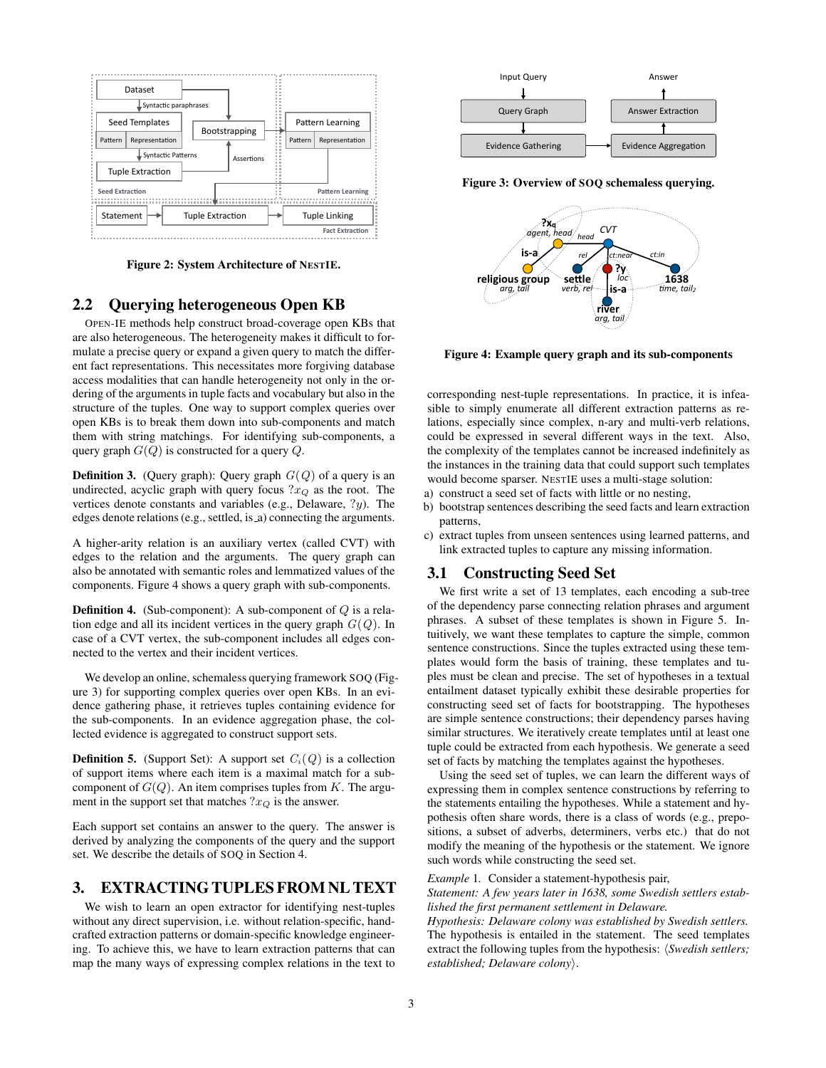

Figure 2: System Architecture of NESTIE.

## 2.2 Querying heterogeneous Open KB

OPEN-IE methods help construct broad-coverage open KBs that are also heterogeneous. The heterogeneity makes it difficult to formulate a precise query or expand a given query to match the different fact representations. This necessitates more forgiving database access modalities that can handle heterogeneity not only in the ordering of the arguments in tuple facts and vocabulary but also in the structure of the tuples. One way to support complex queries over open KBs is to break them down into sub-components and match them with string matchings. For identifying sub-components, a query graph  $G(Q)$  is constructed for a query  $Q$ .

**Definition 3.** (Query graph): Query graph  $G(Q)$  of a query is an undirected, acyclic graph with query focus  $2x_Q$  as the root. The vertices denote constants and variables (e.g., Delaware, ?y). The edges denote relations (e.g., settled, is a) connecting the arguments.

A higher-arity relation is an auxiliary vertex (called CVT) with edges to the relation and the arguments. The query graph can also be annotated with semantic roles and lemmatized values of the components. Figure 4 shows a query graph with sub-components.

**Definition 4.** (Sub-component): A sub-component of  $Q$  is a relation edge and all its incident vertices in the query graph  $G(Q)$ . In case of a CVT vertex, the sub-component includes all edges connected to the vertex and their incident vertices.

We develop an online, schemaless querying framework SOQ (Figure 3) for supporting complex queries over open KBs. In an evidence gathering phase, it retrieves tuples containing evidence for the sub-components. In an evidence aggregation phase, the collected evidence is aggregated to construct support sets.

**Definition 5.** (Support Set): A support set  $C_i(Q)$  is a collection of support items where each item is a maximal match for a subcomponent of  $G(Q)$ . An item comprises tuples from K. The argument in the support set that matches  $2x_Q$  is the answer.

Each support set contains an answer to the query. The answer is derived by analyzing the components of the query and the support set. We describe the details of SOQ in Section 4.

## 3. EXTRACTING TUPLES FROM NL TEXT

We wish to learn an open extractor for identifying nest-tuples without any direct supervision, i.e. without relation-specific, handcrafted extraction patterns or domain-specific knowledge engineering. To achieve this, we have to learn extraction patterns that can map the many ways of expressing complex relations in the text to



Figure 3: Overview of SOQ schemaless querying.



Figure 4: Example query graph and its sub-components

corresponding nest-tuple representations. In practice, it is infeasible to simply enumerate all different extraction patterns as relations, especially since complex, n-ary and multi-verb relations, could be expressed in several different ways in the text. Also, the complexity of the templates cannot be increased indefinitely as the instances in the training data that could support such templates would become sparser. NESTIE uses a multi-stage solution:

- a) construct a seed set of facts with little or no nesting,
- b) bootstrap sentences describing the seed facts and learn extraction patterns,
- c) extract tuples from unseen sentences using learned patterns, and link extracted tuples to capture any missing information.

# 3.1 Constructing Seed Set

We first write a set of 13 templates, each encoding a sub-tree of the dependency parse connecting relation phrases and argument phrases. A subset of these templates is shown in Figure 5. Intuitively, we want these templates to capture the simple, common sentence constructions. Since the tuples extracted using these templates would form the basis of training, these templates and tuples must be clean and precise. The set of hypotheses in a textual entailment dataset typically exhibit these desirable properties for constructing seed set of facts for bootstrapping. The hypotheses are simple sentence constructions; their dependency parses having similar structures. We iteratively create templates until at least one tuple could be extracted from each hypothesis. We generate a seed set of facts by matching the templates against the hypotheses.

Using the seed set of tuples, we can learn the different ways of expressing them in complex sentence constructions by referring to the statements entailing the hypotheses. While a statement and hypothesis often share words, there is a class of words (e.g., prepositions, a subset of adverbs, determiners, verbs etc.) that do not modify the meaning of the hypothesis or the statement. We ignore such words while constructing the seed set.

#### *Example* 1*.* Consider a statement-hypothesis pair,

*Statement: A few years later in 1638, some Swedish settlers established the first permanent settlement in Delaware.*

*Hypothesis: Delaware colony was established by Swedish settlers.* The hypothesis is entailed in the statement. The seed templates extract the following tuples from the hypothesis:  $\langle Swedish \; settings; \rangle$ *established; Delaware colony*).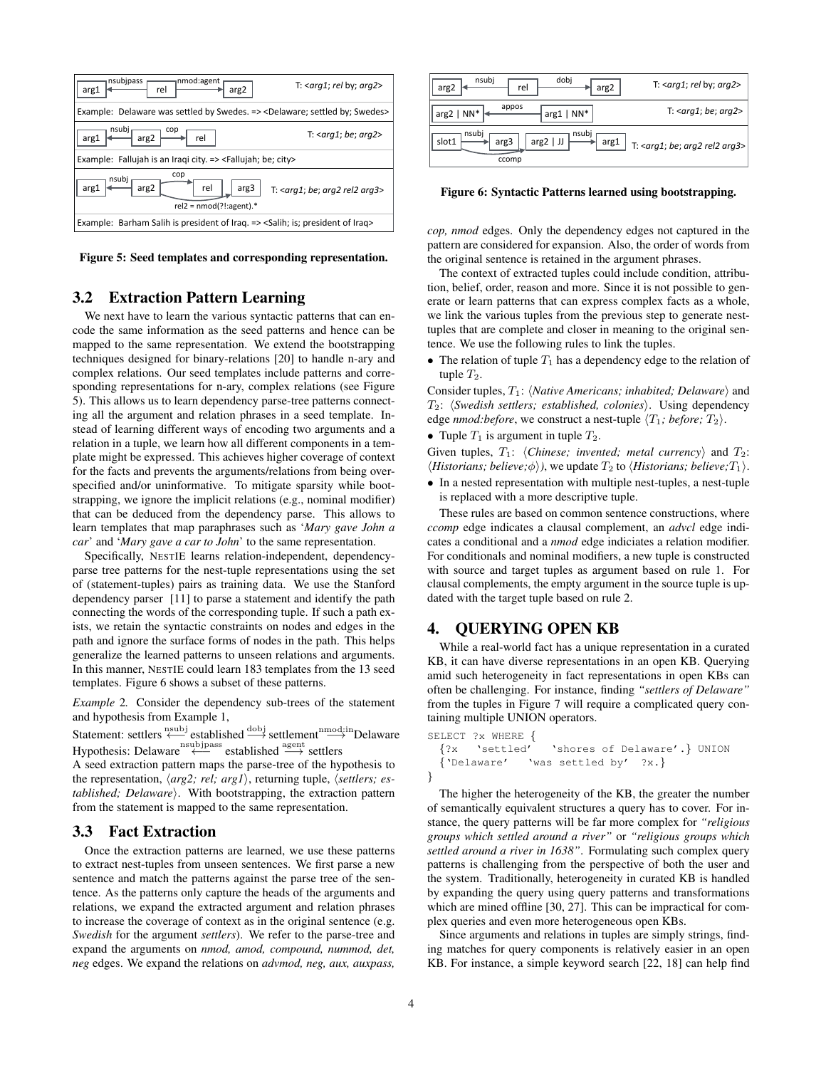

Figure 5: Seed templates and corresponding representation.

# 3.2 Extraction Pattern Learning

We next have to learn the various syntactic patterns that can encode the same information as the seed patterns and hence can be mapped to the same representation. We extend the bootstrapping techniques designed for binary-relations [20] to handle n-ary and complex relations. Our seed templates include patterns and corresponding representations for n-ary, complex relations (see Figure 5). This allows us to learn dependency parse-tree patterns connecting all the argument and relation phrases in a seed template. Instead of learning different ways of encoding two arguments and a relation in a tuple, we learn how all different components in a template might be expressed. This achieves higher coverage of context for the facts and prevents the arguments/relations from being overspecified and/or uninformative. To mitigate sparsity while bootstrapping, we ignore the implicit relations (e.g., nominal modifier) that can be deduced from the dependency parse. This allows to learn templates that map paraphrases such as '*Mary gave John a car*' and '*Mary gave a car to John*' to the same representation.

Specifically, NESTIE learns relation-independent, dependencyparse tree patterns for the nest-tuple representations using the set of (statement-tuples) pairs as training data. We use the Stanford dependency parser [11] to parse a statement and identify the path connecting the words of the corresponding tuple. If such a path exists, we retain the syntactic constraints on nodes and edges in the path and ignore the surface forms of nodes in the path. This helps generalize the learned patterns to unseen relations and arguments. In this manner, NESTIE could learn 183 templates from the 13 seed templates. Figure 6 shows a subset of these patterns.

*Example* 2*.* Consider the dependency sub-trees of the statement and hypothesis from Example 1,

Statement: settlers  $\xleftarrow{\text{nsubj}}$  established  $\xrightarrow{\text{dobj}}$  settlement  $\xrightarrow{\text{mod:in}}$  Delaware Hypothesis: Delaware<sup>nsubjpass</sup> established <sup>agent</sup> settlers

A seed extraction pattern maps the parse-tree of the hypothesis to the representation,  $\langle arg2; rel; arg1 \rangle$ , returning tuple,  $\langle setlers; es$ *tablished; Delaware*). With bootstrapping, the extraction pattern from the statement is mapped to the same representation.

## 3.3 Fact Extraction

Once the extraction patterns are learned, we use these patterns to extract nest-tuples from unseen sentences. We first parse a new sentence and match the patterns against the parse tree of the sentence. As the patterns only capture the heads of the arguments and relations, we expand the extracted argument and relation phrases to increase the coverage of context as in the original sentence (e.g. *Swedish* for the argument *settlers*). We refer to the parse-tree and expand the arguments on *nmod, amod, compound, nummod, det, neg* edges. We expand the relations on *advmod, neg, aux, auxpass,*



Figure 6: Syntactic Patterns learned using bootstrapping.

*cop, nmod* edges. Only the dependency edges not captured in the pattern are considered for expansion. Also, the order of words from the original sentence is retained in the argument phrases.

The context of extracted tuples could include condition, attribution, belief, order, reason and more. Since it is not possible to generate or learn patterns that can express complex facts as a whole, we link the various tuples from the previous step to generate nesttuples that are complete and closer in meaning to the original sentence. We use the following rules to link the tuples.

• The relation of tuple  $T_1$  has a dependency edge to the relation of tuple  $T_2$ .

Consider tuples,  $T_1$ : *{Native Americans; inhabited; Delaware}* and  $T_2$ :  $\langle Swedish \; settings; \; established, \; colonies \rangle$ . Using dependency edge *nmod:before*, we construct a nest-tuple  $\langle T_1; \text{before}; T_2 \rangle$ .

• Tuple  $T_1$  is argument in tuple  $T_2$ .

Given tuples,  $T_1$ : *(Chinese; invented; metal currency)* and  $T_2$ :  $\langle Historians; believe; \phi \rangle$ , we update  $T_2$  to  $\langle Historians; believe; T_1 \rangle$ .

• In a nested representation with multiple nest-tuples, a nest-tuple is replaced with a more descriptive tuple.

These rules are based on common sentence constructions, where *ccomp* edge indicates a clausal complement, an *advcl* edge indicates a conditional and a *nmod* edge indiciates a relation modifier. For conditionals and nominal modifiers, a new tuple is constructed with source and target tuples as argument based on rule 1. For clausal complements, the empty argument in the source tuple is updated with the target tuple based on rule 2.

## 4. QUERYING OPEN KB

While a real-world fact has a unique representation in a curated KB, it can have diverse representations in an open KB. Querying amid such heterogeneity in fact representations in open KBs can often be challenging. For instance, finding *"settlers of Delaware"* from the tuples in Figure 7 will require a complicated query containing multiple UNION operators.

```
SELECT ?x WHERE {
  {?x 'settled' 'shores of Delaware'.} UNION
  {'Delaware' 'was settled by' ?x.}
}
```
The higher the heterogeneity of the KB, the greater the number of semantically equivalent structures a query has to cover. For instance, the query patterns will be far more complex for *"religious groups which settled around a river"* or *"religious groups which settled around a river in 1638"*. Formulating such complex query patterns is challenging from the perspective of both the user and the system. Traditionally, heterogeneity in curated KB is handled by expanding the query using query patterns and transformations which are mined offline [30, 27]. This can be impractical for complex queries and even more heterogeneous open KBs.

Since arguments and relations in tuples are simply strings, finding matches for query components is relatively easier in an open KB. For instance, a simple keyword search [22, 18] can help find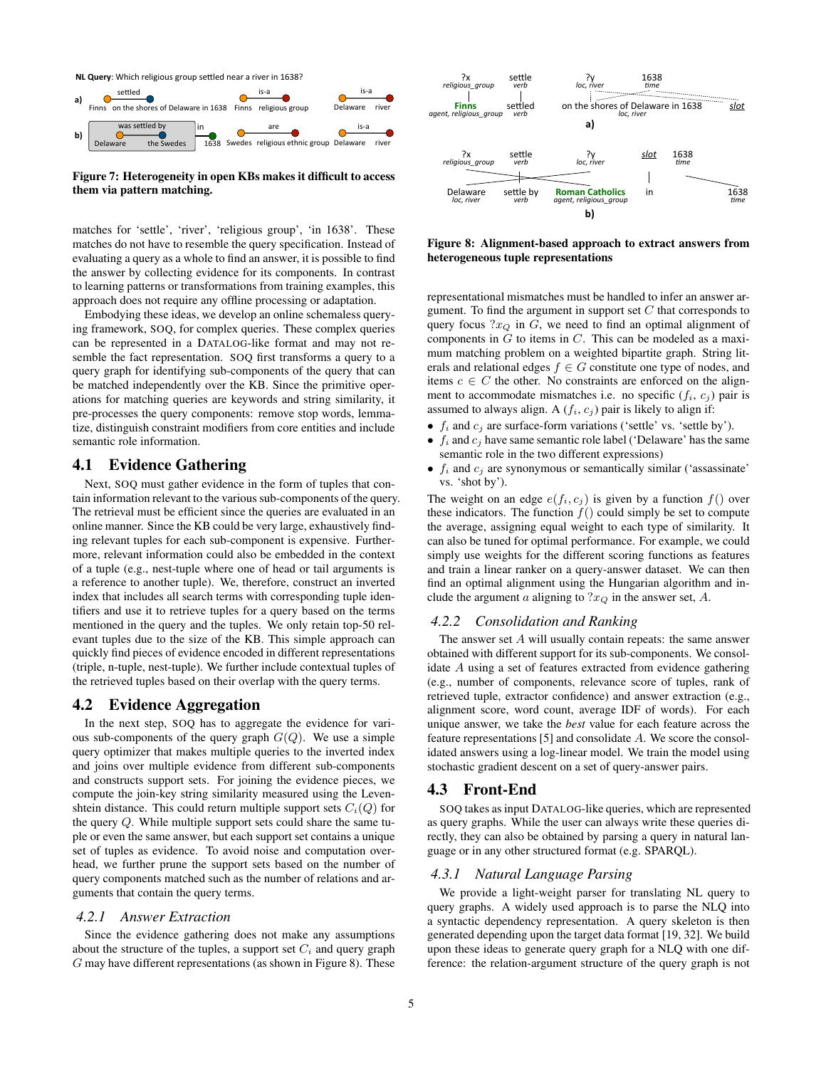



Figure 7: Heterogeneity in open KBs makes it difficult to access them via pattern matching.

matches for 'settle', 'river', 'religious group', 'in 1638'. These matches do not have to resemble the query specification. Instead of evaluating a query as a whole to find an answer, it is possible to find the answer by collecting evidence for its components. In contrast to learning patterns or transformations from training examples, this approach does not require any offline processing or adaptation.

Embodying these ideas, we develop an online schemaless querying framework, SOQ, for complex queries. These complex queries can be represented in a DATALOG-like format and may not resemble the fact representation. SOQ first transforms a query to a query graph for identifying sub-components of the query that can be matched independently over the KB. Since the primitive operations for matching queries are keywords and string similarity, it pre-processes the query components: remove stop words, lemmatize, distinguish constraint modifiers from core entities and include semantic role information.

## 4.1 Evidence Gathering

Next, SOQ must gather evidence in the form of tuples that contain information relevant to the various sub-components of the query. The retrieval must be efficient since the queries are evaluated in an online manner. Since the KB could be very large, exhaustively finding relevant tuples for each sub-component is expensive. Furthermore, relevant information could also be embedded in the context of a tuple (e.g., nest-tuple where one of head or tail arguments is a reference to another tuple). We, therefore, construct an inverted index that includes all search terms with corresponding tuple identifiers and use it to retrieve tuples for a query based on the terms mentioned in the query and the tuples. We only retain top-50 relevant tuples due to the size of the KB. This simple approach can quickly find pieces of evidence encoded in different representations (triple, n-tuple, nest-tuple). We further include contextual tuples of the retrieved tuples based on their overlap with the query terms.

#### 4.2 Evidence Aggregation

In the next step, SOQ has to aggregate the evidence for various sub-components of the query graph  $G(Q)$ . We use a simple query optimizer that makes multiple queries to the inverted index and joins over multiple evidence from different sub-components and constructs support sets. For joining the evidence pieces, we compute the join-key string similarity measured using the Levenshtein distance. This could return multiple support sets  $C_i(Q)$  for the query Q. While multiple support sets could share the same tuple or even the same answer, but each support set contains a unique set of tuples as evidence. To avoid noise and computation overhead, we further prune the support sets based on the number of query components matched such as the number of relations and arguments that contain the query terms.

#### *4.2.1 Answer Extraction*

Since the evidence gathering does not make any assumptions about the structure of the tuples, a support set  $C_i$  and query graph G may have different representations (as shown in Figure 8). These



Figure 8: Alignment-based approach to extract answers from heterogeneous tuple representations

representational mismatches must be handled to infer an answer argument. To find the argument in support set  $C$  that corresponds to query focus  $2x_Q$  in G, we need to find an optimal alignment of components in  $G$  to items in  $C$ . This can be modeled as a maximum matching problem on a weighted bipartite graph. String literals and relational edges  $f \in G$  constitute one type of nodes, and items  $c \in C$  the other. No constraints are enforced on the alignment to accommodate mismatches i.e. no specific  $(f_i, c_j)$  pair is assumed to always align. A  $(f_i, c_j)$  pair is likely to align if:

- $f_i$  and  $c_j$  are surface-form variations ('settle' vs. 'settle by').
- $f_i$  and  $c_j$  have same semantic role label ('Delaware' has the same semantic role in the two different expressions)
- $f_i$  and  $c_j$  are synonymous or semantically similar ('assassinate' vs. 'shot by').

The weight on an edge  $e(f_i, c_j)$  is given by a function  $f()$  over these indicators. The function  $f()$  could simply be set to compute the average, assigning equal weight to each type of similarity. It can also be tuned for optimal performance. For example, we could simply use weights for the different scoring functions as features and train a linear ranker on a query-answer dataset. We can then find an optimal alignment using the Hungarian algorithm and include the argument a aligning to  $2x_Q$  in the answer set, A.

#### *4.2.2 Consolidation and Ranking*

The answer set  $A$  will usually contain repeats: the same answer obtained with different support for its sub-components. We consolidate A using a set of features extracted from evidence gathering (e.g., number of components, relevance score of tuples, rank of retrieved tuple, extractor confidence) and answer extraction (e.g., alignment score, word count, average IDF of words). For each unique answer, we take the *best* value for each feature across the feature representations [5] and consolidate A. We score the consolidated answers using a log-linear model. We train the model using stochastic gradient descent on a set of query-answer pairs.

#### 4.3 Front-End

SOQ takes as input DATALOG-like queries, which are represented as query graphs. While the user can always write these queries directly, they can also be obtained by parsing a query in natural language or in any other structured format (e.g. SPARQL).

#### *4.3.1 Natural Language Parsing*

We provide a light-weight parser for translating NL query to query graphs. A widely used approach is to parse the NLQ into a syntactic dependency representation. A query skeleton is then generated depending upon the target data format [19, 32]. We build upon these ideas to generate query graph for a NLQ with one difference: the relation-argument structure of the query graph is not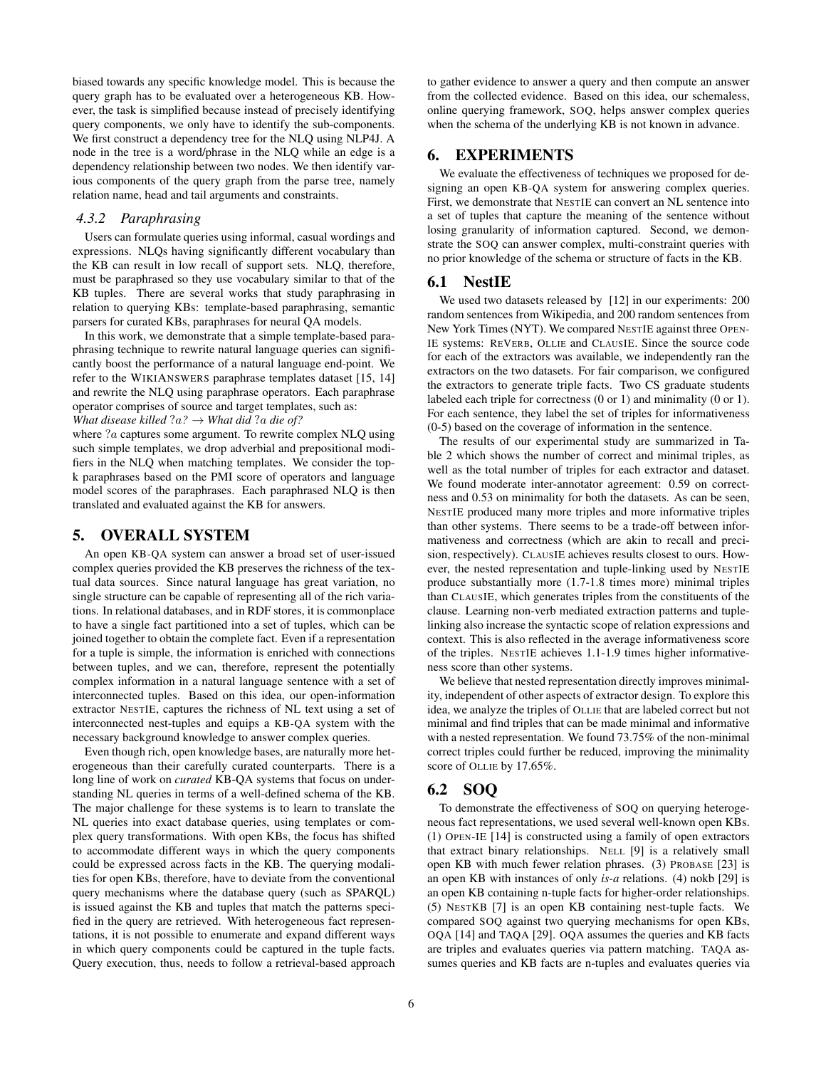biased towards any specific knowledge model. This is because the query graph has to be evaluated over a heterogeneous KB. However, the task is simplified because instead of precisely identifying query components, we only have to identify the sub-components. We first construct a dependency tree for the NLQ using NLP4J. A node in the tree is a word/phrase in the NLQ while an edge is a dependency relationship between two nodes. We then identify various components of the query graph from the parse tree, namely relation name, head and tail arguments and constraints.

#### *4.3.2 Paraphrasing*

Users can formulate queries using informal, casual wordings and expressions. NLQs having significantly different vocabulary than the KB can result in low recall of support sets. NLQ, therefore, must be paraphrased so they use vocabulary similar to that of the KB tuples. There are several works that study paraphrasing in relation to querying KBs: template-based paraphrasing, semantic parsers for curated KBs, paraphrases for neural QA models.

In this work, we demonstrate that a simple template-based paraphrasing technique to rewrite natural language queries can significantly boost the performance of a natural language end-point. We refer to the WIKIANSWERS paraphrase templates dataset [15, 14] and rewrite the NLQ using paraphrase operators. Each paraphrase operator comprises of source and target templates, such as: *What disease killed*  $?a? \rightarrow$  *What did*  $?a$  *die of?* 

where  $a$  captures some argument. To rewrite complex NLO using such simple templates, we drop adverbial and prepositional modifiers in the NLQ when matching templates. We consider the topk paraphrases based on the PMI score of operators and language model scores of the paraphrases. Each paraphrased NLQ is then translated and evaluated against the KB for answers.

## 5. OVERALL SYSTEM

An open KB-QA system can answer a broad set of user-issued complex queries provided the KB preserves the richness of the textual data sources. Since natural language has great variation, no single structure can be capable of representing all of the rich variations. In relational databases, and in RDF stores, it is commonplace to have a single fact partitioned into a set of tuples, which can be joined together to obtain the complete fact. Even if a representation for a tuple is simple, the information is enriched with connections between tuples, and we can, therefore, represent the potentially complex information in a natural language sentence with a set of interconnected tuples. Based on this idea, our open-information extractor NESTIE, captures the richness of NL text using a set of interconnected nest-tuples and equips a KB-QA system with the necessary background knowledge to answer complex queries.

Even though rich, open knowledge bases, are naturally more heterogeneous than their carefully curated counterparts. There is a long line of work on *curated* KB-QA systems that focus on understanding NL queries in terms of a well-defined schema of the KB. The major challenge for these systems is to learn to translate the NL queries into exact database queries, using templates or complex query transformations. With open KBs, the focus has shifted to accommodate different ways in which the query components could be expressed across facts in the KB. The querying modalities for open KBs, therefore, have to deviate from the conventional query mechanisms where the database query (such as SPARQL) is issued against the KB and tuples that match the patterns specified in the query are retrieved. With heterogeneous fact representations, it is not possible to enumerate and expand different ways in which query components could be captured in the tuple facts. Query execution, thus, needs to follow a retrieval-based approach to gather evidence to answer a query and then compute an answer from the collected evidence. Based on this idea, our schemaless, online querying framework, SOQ, helps answer complex queries when the schema of the underlying KB is not known in advance.

# 6. EXPERIMENTS

We evaluate the effectiveness of techniques we proposed for designing an open KB-QA system for answering complex queries. First, we demonstrate that NESTIE can convert an NL sentence into a set of tuples that capture the meaning of the sentence without losing granularity of information captured. Second, we demonstrate the SOQ can answer complex, multi-constraint queries with no prior knowledge of the schema or structure of facts in the KB.

#### 6.1 NestIE

We used two datasets released by [12] in our experiments: 200 random sentences from Wikipedia, and 200 random sentences from New York Times (NYT). We compared NESTIE against three OPEN-IE systems: REVERB, OLLIE and CLAUSIE. Since the source code for each of the extractors was available, we independently ran the extractors on the two datasets. For fair comparison, we configured the extractors to generate triple facts. Two CS graduate students labeled each triple for correctness (0 or 1) and minimality (0 or 1). For each sentence, they label the set of triples for informativeness (0-5) based on the coverage of information in the sentence.

The results of our experimental study are summarized in Table 2 which shows the number of correct and minimal triples, as well as the total number of triples for each extractor and dataset. We found moderate inter-annotator agreement: 0.59 on correctness and 0.53 on minimality for both the datasets. As can be seen, NESTIE produced many more triples and more informative triples than other systems. There seems to be a trade-off between informativeness and correctness (which are akin to recall and precision, respectively). CLAUSIE achieves results closest to ours. However, the nested representation and tuple-linking used by NESTIE produce substantially more (1.7-1.8 times more) minimal triples than CLAUSIE, which generates triples from the constituents of the clause. Learning non-verb mediated extraction patterns and tuplelinking also increase the syntactic scope of relation expressions and context. This is also reflected in the average informativeness score of the triples. NESTIE achieves 1.1-1.9 times higher informativeness score than other systems.

We believe that nested representation directly improves minimality, independent of other aspects of extractor design. To explore this idea, we analyze the triples of OLLIE that are labeled correct but not minimal and find triples that can be made minimal and informative with a nested representation. We found 73.75% of the non-minimal correct triples could further be reduced, improving the minimality score of OLLIE by 17.65%.

## 6.2 SOQ

To demonstrate the effectiveness of SOQ on querying heterogeneous fact representations, we used several well-known open KBs. (1) OPEN-IE [14] is constructed using a family of open extractors that extract binary relationships. NELL [9] is a relatively small open KB with much fewer relation phrases. (3) PROBASE [23] is an open KB with instances of only *is-a* relations. (4) nokb [29] is an open KB containing n-tuple facts for higher-order relationships. (5) NESTKB [7] is an open KB containing nest-tuple facts. We compared SOQ against two querying mechanisms for open KBs, OQA [14] and TAQA [29]. OQA assumes the queries and KB facts are triples and evaluates queries via pattern matching. TAQA assumes queries and KB facts are n-tuples and evaluates queries via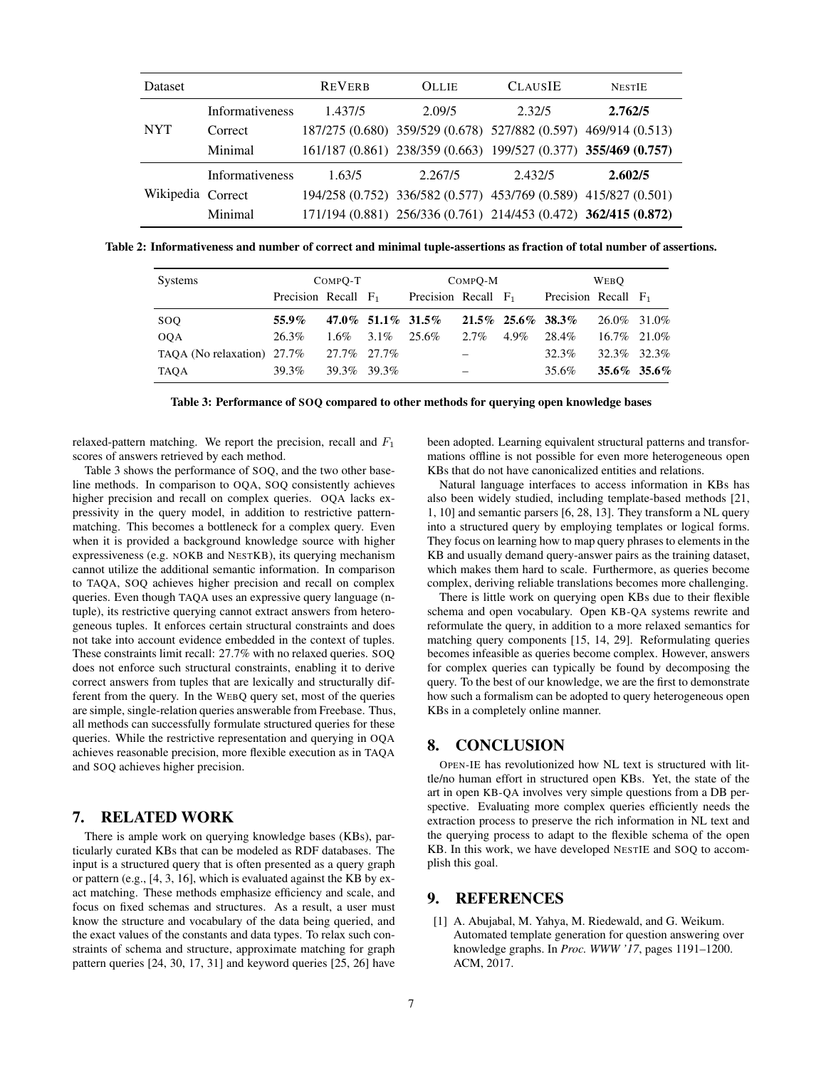| <b>Dataset</b>    |                        | <b>REVERB</b> | <b>OLLIE</b>                                                    | <b>CLAUSIE</b> | <b>NESTIE</b> |  |
|-------------------|------------------------|---------------|-----------------------------------------------------------------|----------------|---------------|--|
|                   | <b>Informativeness</b> | 1.437/5       | 2.09/5                                                          | 2.32/5         | 2.762/5       |  |
| <b>NYT</b>        | Correct                |               | 187/275 (0.680) 359/529 (0.678) 527/882 (0.597) 469/914 (0.513) |                |               |  |
|                   | Minimal                |               | 161/187 (0.861) 238/359 (0.663) 199/527 (0.377) 355/469 (0.757) |                |               |  |
|                   | <b>Informativeness</b> | 1.63/5        | 2.267/5                                                         | 2.432/5        | 2.602/5       |  |
| Wikipedia Correct |                        |               | 194/258 (0.752) 336/582 (0.577) 453/769 (0.589) 415/827 (0.501) |                |               |  |
|                   | Minimal                |               | 171/194 (0.881) 256/336 (0.761) 214/453 (0.472) 362/415 (0.872) |                |               |  |

Table 2: Informativeness and number of correct and minimal tuple-assertions as fraction of total number of assertions.

| Systems                    | COMPO-T                |                 |  | COMPO-M                |                          |         | <b>WEBO</b>            |             |  |
|----------------------------|------------------------|-----------------|--|------------------------|--------------------------|---------|------------------------|-------------|--|
|                            | Precision Recall $F_1$ |                 |  | Precision Recall $F_1$ |                          |         | Precision Recall $F_1$ |             |  |
| SOQ.                       | 55.9%                  |                 |  | 47.0\% 51.1\% 31.5\%   | $21.5\%$ 25.6\% 38.3\%   |         |                        | 26.0% 31.0% |  |
| <b>OOA</b>                 | 26.3%                  | $1.6\% - 3.1\%$ |  | 25.6%                  | 2.7%                     | $4.9\%$ | 28.4%                  | 16.7% 21.0% |  |
| TAOA (No relaxation) 27.7% |                        | 27.7% 27.7%     |  |                        | $\overline{\phantom{m}}$ |         | 32.3%                  | 32.3% 32.3% |  |
| TAOA                       | 39.3%                  | 39.3% 39.3%     |  |                        |                          |         | 35.6%                  | 35.6% 35.6% |  |

Table 3: Performance of SOQ compared to other methods for querying open knowledge bases

relaxed-pattern matching. We report the precision, recall and  $F_1$ scores of answers retrieved by each method.

Table 3 shows the performance of SOQ, and the two other baseline methods. In comparison to OQA, SOQ consistently achieves higher precision and recall on complex queries. OQA lacks expressivity in the query model, in addition to restrictive patternmatching. This becomes a bottleneck for a complex query. Even when it is provided a background knowledge source with higher expressiveness (e.g. NOKB and NESTKB), its querying mechanism cannot utilize the additional semantic information. In comparison to TAQA, SOQ achieves higher precision and recall on complex queries. Even though TAQA uses an expressive query language (ntuple), its restrictive querying cannot extract answers from heterogeneous tuples. It enforces certain structural constraints and does not take into account evidence embedded in the context of tuples. These constraints limit recall: 27.7% with no relaxed queries. SOQ does not enforce such structural constraints, enabling it to derive correct answers from tuples that are lexically and structurally different from the query. In the WEBQ query set, most of the queries are simple, single-relation queries answerable from Freebase. Thus, all methods can successfully formulate structured queries for these queries. While the restrictive representation and querying in OQA achieves reasonable precision, more flexible execution as in TAQA and SOQ achieves higher precision.

## 7. RELATED WORK

There is ample work on querying knowledge bases (KBs), particularly curated KBs that can be modeled as RDF databases. The input is a structured query that is often presented as a query graph or pattern (e.g., [4, 3, 16], which is evaluated against the KB by exact matching. These methods emphasize efficiency and scale, and focus on fixed schemas and structures. As a result, a user must know the structure and vocabulary of the data being queried, and the exact values of the constants and data types. To relax such constraints of schema and structure, approximate matching for graph pattern queries [24, 30, 17, 31] and keyword queries [25, 26] have been adopted. Learning equivalent structural patterns and transformations offline is not possible for even more heterogeneous open KBs that do not have canonicalized entities and relations.

Natural language interfaces to access information in KBs has also been widely studied, including template-based methods [21, 1, 10] and semantic parsers [6, 28, 13]. They transform a NL query into a structured query by employing templates or logical forms. They focus on learning how to map query phrases to elements in the KB and usually demand query-answer pairs as the training dataset, which makes them hard to scale. Furthermore, as queries become complex, deriving reliable translations becomes more challenging.

There is little work on querying open KBs due to their flexible schema and open vocabulary. Open KB-QA systems rewrite and reformulate the query, in addition to a more relaxed semantics for matching query components [15, 14, 29]. Reformulating queries becomes infeasible as queries become complex. However, answers for complex queries can typically be found by decomposing the query. To the best of our knowledge, we are the first to demonstrate how such a formalism can be adopted to query heterogeneous open KBs in a completely online manner.

## 8. CONCLUSION

OPEN-IE has revolutionized how NL text is structured with little/no human effort in structured open KBs. Yet, the state of the art in open KB-QA involves very simple questions from a DB perspective. Evaluating more complex queries efficiently needs the extraction process to preserve the rich information in NL text and the querying process to adapt to the flexible schema of the open KB. In this work, we have developed NESTIE and SOQ to accomplish this goal.

# 9. REFERENCES

[1] A. Abujabal, M. Yahya, M. Riedewald, and G. Weikum. Automated template generation for question answering over knowledge graphs. In *Proc. WWW '17*, pages 1191–1200. ACM, 2017.